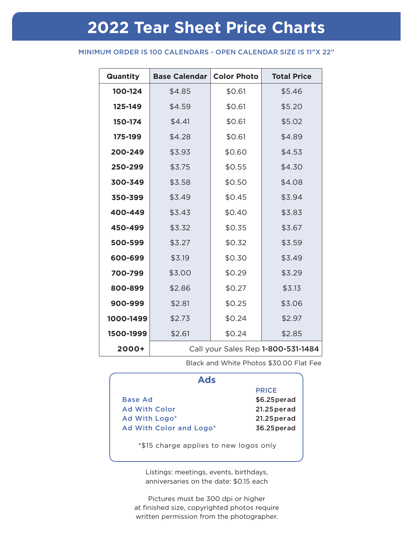# **2022 Tear Sheet Price Charts**

### MINIMUM ORDER IS 100 CALENDARS - OPEN CALENDAR SIZE IS 11"X 22"

| Quantity  | <b>Base Calendar</b>               | <b>Color Photo</b> | <b>Total Price</b> |  |
|-----------|------------------------------------|--------------------|--------------------|--|
| 100-124   | \$4.85                             | \$0.61             | \$5.46             |  |
| 125-149   | \$4.59                             | \$0.61             | \$5.20             |  |
| 150-174   | \$4.41                             | \$0.61             | \$5.02             |  |
| 175-199   | \$4.28                             | \$0.61             | \$4.89             |  |
| 200-249   | \$3.93                             | \$0.60             | \$4.53             |  |
| 250-299   | \$3.75                             | \$0.55             | \$4.30             |  |
| 300-349   | \$3.58                             | \$0.50             | \$4.08             |  |
| 350-399   | \$3.49                             | \$0.45             | \$3.94             |  |
| 400-449   | \$3.43                             | \$0.40             | \$3.83             |  |
| 450-499   | \$3.32                             | \$0.35             | \$3.67             |  |
| 500-599   | \$3.27                             | \$0.32             | \$3.59             |  |
| 600-699   | \$3.19                             | \$0.30             | \$3.49             |  |
| 700-799   | \$3.00                             | \$0.29             | \$3.29             |  |
| 800-899   | \$2.86                             | \$0.27             | \$3.13             |  |
| 900-999   | \$2.81                             | \$0.25             | \$3.06             |  |
| 1000-1499 | \$2.73                             | \$0.24             | \$2.97             |  |
| 1500-1999 | \$2.61                             | \$0.24             | \$2.85             |  |
| 2000+     | Call your Sales Rep 1-800-531-1484 |                    |                    |  |

Black and White Photos \$30.00 Flat Fee

| <b>Ads</b>                             |                |
|----------------------------------------|----------------|
|                                        | <b>PRICE</b>   |
| <b>Base Ad</b>                         | \$6.25 per ad  |
| <b>Ad With Color</b>                   | $21.25$ per ad |
| Ad With Logo*                          | $21.25$ per ad |
| Ad With Color and Logo*                | 36.25 per ad   |
| *\$15 charge applies to new logos only |                |

Listings: meetings, events, birthdays, anniversaries on the date: \$0.15 each

Pictures must be 300 dpi or higher at finished size, copyrighted photos require written permission from the photographer.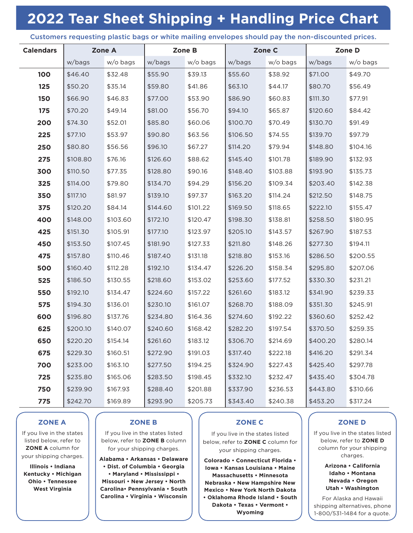# **2022 Tear Sheet Shipping + Handling Price Chart**

#### Customers requesting plastic bags or white mailing envelopes should pay the non-discounted prices.

| <b>Calendars</b> |          | Zone A   | Zone B   |          | Zone C   |          | Zone D   |          |
|------------------|----------|----------|----------|----------|----------|----------|----------|----------|
|                  | w/bags   | w/o bags | w/bags   | w/o bags | w/bags   | w/o bags | w/bags   | w/o bags |
| 100              | \$46.40  | \$32.48  | \$55.90  | \$39.13  | \$55.60  | \$38.92  | \$71.00  | \$49.70  |
| 125              | \$50.20  | \$35.14  | \$59.80  | \$41.86  | \$63.10  | \$44.17  | \$80.70  | \$56.49  |
| 150              | \$66.90  | \$46.83  | \$77.00  | \$53.90  | \$86.90  | \$60.83  | \$111.30 | \$77.91  |
| 175              | \$70.20  | \$49.14  | \$81.00  | \$56.70  | \$94.10  | \$65.87  | \$120.60 | \$84.42  |
| 200              | \$74.30  | \$52.01  | \$85.80  | \$60.06  | \$100.70 | \$70.49  | \$130.70 | \$91.49  |
| 225              | \$77.10  | \$53.97  | \$90.80  | \$63.56  | \$106.50 | \$74.55  | \$139.70 | \$97.79  |
| 250              | \$80.80  | \$56.56  | \$96.10  | \$67.27  | \$114.20 | \$79.94  | \$148.80 | \$104.16 |
| 275              | \$108.80 | \$76.16  | \$126.60 | \$88.62  | \$145.40 | \$101.78 | \$189.90 | \$132.93 |
| 300              | \$110.50 | \$77.35  | \$128.80 | \$90.16  | \$148.40 | \$103.88 | \$193.90 | \$135.73 |
| 325              | \$114.00 | \$79.80  | \$134.70 | \$94.29  | \$156.20 | \$109.34 | \$203.40 | \$142.38 |
| 350              | \$117.10 | \$81.97  | \$139.10 | \$97.37  | \$163.20 | \$114.24 | \$212.50 | \$148.75 |
| 375              | \$120.20 | \$84.14  | \$144.60 | \$101.22 | \$169.50 | \$118.65 | \$222.10 | \$155.47 |
| 400              | \$148.00 | \$103.60 | \$172.10 | \$120.47 | \$198.30 | \$138.81 | \$258.50 | \$180.95 |
| 425              | \$151.30 | \$105.91 | \$177.10 | \$123.97 | \$205.10 | \$143.57 | \$267.90 | \$187.53 |
| 450              | \$153.50 | \$107.45 | \$181.90 | \$127.33 | \$211.80 | \$148.26 | \$277.30 | \$194.11 |
| 475              | \$157.80 | \$110.46 | \$187.40 | \$131.18 | \$218.80 | \$153.16 | \$286.50 | \$200.55 |
| 500              | \$160.40 | \$112.28 | \$192.10 | \$134.47 | \$226.20 | \$158.34 | \$295.80 | \$207.06 |
| 525              | \$186.50 | \$130.55 | \$218.60 | \$153.02 | \$253.60 | \$177.52 | \$330.30 | \$231.21 |
| 550              | \$192.10 | \$134.47 | \$224.60 | \$157.22 | \$261.60 | \$183.12 | \$341.90 | \$239.33 |
| 575              | \$194.30 | \$136.01 | \$230.10 | \$161.07 | \$268.70 | \$188.09 | \$351.30 | \$245.91 |
| 600              | \$196.80 | \$137.76 | \$234.80 | \$164.36 | \$274.60 | \$192.22 | \$360.60 | \$252.42 |
| 625              | \$200.10 | \$140.07 | \$240.60 | \$168.42 | \$282.20 | \$197.54 | \$370.50 | \$259.35 |
| 650              | \$220.20 | \$154.14 | \$261.60 | \$183.12 | \$306.70 | \$214.69 | \$400.20 | \$280.14 |
| 675              | \$229.30 | \$160.51 | \$272.90 | \$191.03 | \$317.40 | \$222.18 | \$416.20 | \$291.34 |
| 700              | \$233.00 | \$163.10 | \$277.50 | \$194.25 | \$324.90 | \$227.43 | \$425.40 | \$297.78 |
| 725              | \$235.80 | \$165.06 | \$283.50 | \$198.45 | \$332.10 | \$232.47 | \$435.40 | \$304.78 |
| 750              | \$239.90 | \$167.93 | \$288.40 | \$201.88 | \$337.90 | \$236.53 | \$443.80 | \$310.66 |
| 775              | \$242.70 | \$169.89 | \$293.90 | \$205.73 | \$343.40 | \$240.38 | \$453.20 | \$317.24 |

# **ZONE A**

If you live in the states listed below, refer to **ZONE A** column for your shipping charges.

**Illinois • Indiana Kentucky • Michigan Ohio • Tennessee West Virginia**

### **ZONE B**

If you live in the states listed below, refer to **ZONE B** column for your shipping charges.

**Alabama • Arkansas • Delaware • Dist. of Columbia • Georgia • Maryland • Mississippi • Missouri • New Jersey • North Carolina• Pennsylvania • South Carolina • Virginia • Wisconsin**

# **ZONE C**

If you live in the states listed below, refer to **ZONE C** column for your shipping charges.

**Colorado • Connecticut Florida • Iowa • Kansas Louisiana • Maine Massachusetts • Minnesota Nebraska • New Hampshire New Mexico • New York North Dakota • Oklahoma Rhode Island • South Dakota • Texas • Vermont • Wyoming**

# **ZONE D**

If you live in the states listed below, refer to **ZONE D** column for your shipping charges.

> **Arizona • California Idaho • Montana Nevada • Oregon Utah • Washington**

For Alaska and Hawaii shipping alternatives, phone 1-800/531-1484 for a quote.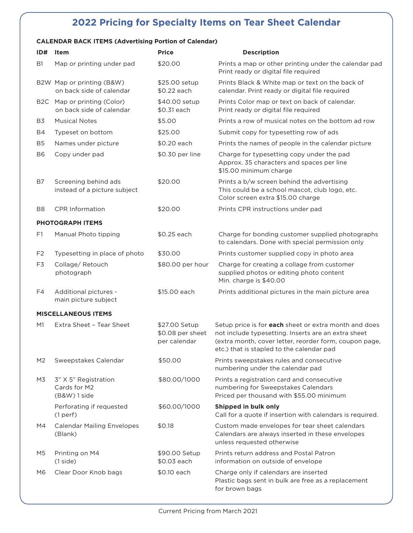# **2022 Pricing for Specialty Items on Tear Sheet Calendar**

## **CALENDAR BACK ITEMS (Advertising Portion of Calendar)**

| ID#                     | ltem                                                    | <b>Price</b>                                      | <b>Description</b>                                                                                                                                                                                                  |
|-------------------------|---------------------------------------------------------|---------------------------------------------------|---------------------------------------------------------------------------------------------------------------------------------------------------------------------------------------------------------------------|
| B <sub>1</sub>          | Map or printing under pad                               | \$20.00                                           | Prints a map or other printing under the calendar pad<br>Print ready or digital file required                                                                                                                       |
|                         | B2W Map or printing (B&W)<br>on back side of calendar   | \$25.00 setup<br>\$0.22 each                      | Prints Black & White map or text on the back of<br>calendar. Print ready or digital file required                                                                                                                   |
|                         | B2C Map or printing (Color)<br>on back side of calendar | \$40.00 setup<br>\$0.31 each                      | Prints Color map or text on back of calendar.<br>Print ready or digital file required                                                                                                                               |
| B3                      | <b>Musical Notes</b>                                    | \$5.00                                            | Prints a row of musical notes on the bottom ad row                                                                                                                                                                  |
| <b>B4</b>               | Typeset on bottom                                       | \$25.00                                           | Submit copy for typesetting row of ads                                                                                                                                                                              |
| B <sub>5</sub>          | Names under picture                                     | \$0.20 each                                       | Prints the names of people in the calendar picture                                                                                                                                                                  |
| B <sub>6</sub>          | Copy under pad                                          | \$0.30 per line                                   | Charge for typesetting copy under the pad<br>Approx. 35 characters and spaces per line<br>\$15.00 minimum charge                                                                                                    |
| B7                      | Screening behind ads<br>instead of a picture subject    | \$20.00                                           | Prints a b/w screen behind the advertising<br>This could be a school mascot, club logo, etc.<br>Color screen extra \$15.00 charge                                                                                   |
| B <sub>8</sub>          | <b>CPR</b> Information                                  | \$20.00                                           | Prints CPR instructions under pad                                                                                                                                                                                   |
| <b>PHOTOGRAPH ITEMS</b> |                                                         |                                                   |                                                                                                                                                                                                                     |
| F1                      | Manual Photo tipping                                    | \$0.25 each                                       | Charge for bonding customer supplied photographs<br>to calendars. Done with special permission only                                                                                                                 |
| F <sub>2</sub>          | Typesetting in place of photo                           | \$30.00                                           | Prints customer supplied copy in photo area                                                                                                                                                                         |
| F3                      | Collage/Retouch<br>photograph                           | \$80.00 per hour                                  | Charge for creating a collage from customer<br>supplied photos or editing photo content<br>Min. charge is \$40.00                                                                                                   |
| F4                      | Additional pictures -<br>main picture subject           | \$15.00 each                                      | Prints additional pictures in the main picture area                                                                                                                                                                 |
|                         | <b>MISCELLANEOUS ITEMS</b>                              |                                                   |                                                                                                                                                                                                                     |
| M1                      | Extra Sheet - Tear Sheet                                | \$27.00 Setup<br>\$0.08 per sheet<br>per calendar | Setup price is for each sheet or extra month and does<br>not include typesetting. Inserts are an extra sheet<br>(extra month, cover letter, reorder form, coupon page,<br>etc.) that is stapled to the calendar pad |
| M <sub>2</sub>          | Sweepstakes Calendar                                    | \$50.00                                           | Prints sweepstakes rules and consecutive<br>numbering under the calendar pad                                                                                                                                        |
| M3                      | 3" X 5" Registration<br>Cards for M2<br>(B&W) 1 side    | \$80.00/1000                                      | Prints a registration card and consecutive<br>numbering for Sweepstakes Calendars<br>Priced per thousand with \$55.00 minimum                                                                                       |
|                         | Perforating if requested<br>(1 <sub>perf</sub> )        | \$60.00/1000                                      | Shipped in bulk only<br>Call for a quote if insertion with calendars is required.                                                                                                                                   |
| M4                      | <b>Calendar Mailing Envelopes</b><br>(Blank)            | \$0.18                                            | Custom made envelopes for tear sheet calendars<br>Calendars are always inserted in these envelopes<br>unless requested otherwise                                                                                    |
| M5                      | Printing on M4<br>(1 side)                              | \$90.00 Setup<br>\$0.03 each                      | Prints return address and Postal Patron<br>information on outside of envelope                                                                                                                                       |
| M6                      | Clear Door Knob bags                                    | \$0.10 each                                       | Charge only if calendars are inserted<br>Plastic bags sent in bulk are free as a replacement<br>for brown bags                                                                                                      |